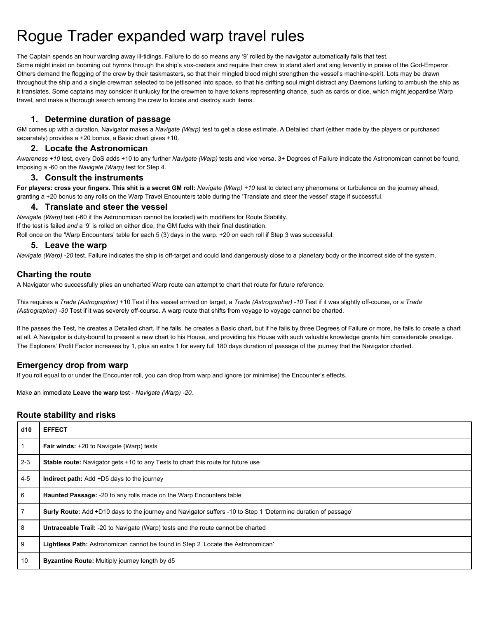# Rogue Trader expanded warp travel rules

The Captain spends an hour warding away ill-tidings. Failure to do so means any '9' rolled by the navigator automatically fails that test. Some might insist on booming out hymns through the ship's vox-casters and require their crew to stand alert and sing fervently in praise of the God-Emperor. Others demand the flogging of the crew by their taskmasters, so that their mingled blood might strengthen the vessel's machine-spirit. Lots may be drawn throughout the ship and a single crewman selected to be jettisoned into space, so that his drifting soul might distract any Daemons lurking to ambush the ship as it translates. Some captains may consider it unlucky for the crewmen to have tokens representing chance, such as cards or dice, which might jeopardise Warp travel, and make a thorough search among the crew to locate and destroy such items.

### **1. Determine duration of passage**

GM comes up with a duration, Navigator makes a *Navigate (Warp)* test to get a close estimate. A Detailed chart (either made by the players or purchased separately) provides a +20 bonus, a Basic chart gives +10.

#### **2. Locate the Astronomican**

*Awareness +10* test, every DoS adds +10 to any further *Navigate (Warp)* tests and vice versa. 3+ Degrees of Failure indicate the Astronomican cannot be found, imposing a -60 on the *Navigate (Warp)* test for Step 4.

#### **3. Consult the instruments**

For players: cross your fingers. This shit is a secret GM roll: Navigate (Warp) +10 test to detect any phenomena or turbulence on the journey ahead, granting a +20 bonus to any rolls on the Warp Travel Encounters table during the 'Translate and steer the vessel' stage if successful.

### **4. Translate and steer the vessel**

*Navigate (Warp)* test (-60 if the Astronomican cannot be located) with modifiers for Route Stability. If the test is failed *and* a '9' is rolled on either dice, the GM fucks with their final destination. Roll once on the 'Warp Encounters' table for each 5 (3) days in the warp. +20 on each roll if Step 3 was successful.

#### **5. Leave the warp**

*Navigate (Warp) -20* test. Failure indicates the ship is off-target and could land dangerously close to a planetary body or the incorrect side of the system.

## **Charting the route**

A Navigator who successfully plies an uncharted Warp route can attempt to chart that route for future reference.

This requires a *Trade (Astrographer)* +10 Test if his vessel arrived on target, a *Trade (Astrographer) -10* Test if it was slightly off-course, or a *Trade (Astrographer) -30* Test if it was severely off-course. A warp route that shifts from voyage to voyage cannot be charted.

If he passes the Test, he creates a Detailed chart. If he fails, he creates a Basic chart, but if he fails by three Degrees of Failure or more, he fails to create a chart at all. A Navigator is duty-bound to present a new chart to his House, and providing his House with such valuable knowledge grants him considerable prestige. The Explorers' Profit Factor increases by 1, plus an extra 1 for every full 180 days duration of passage of the journey that the Navigator charted.

## **Emergency drop from warp**

If you roll equal to or under the Encounter roll, you can drop from warp and ignore (or minimise) the Encounter's effects.

Make an immediate **Leave the warp** test - *Navigate (Warp) -20.*

## **Route stability and risks**

| d10     | <b>EFFECT</b>                                                                                                 |
|---------|---------------------------------------------------------------------------------------------------------------|
|         | <b>Fair winds:</b> +20 to Navigate (Warp) tests                                                               |
| $2 - 3$ | <b>Stable route:</b> Navigator gets +10 to any Tests to chart this route for future use                       |
| $4 - 5$ | <b>Indirect path:</b> Add +D5 days to the journey                                                             |
| 6       | <b>Haunted Passage: -20 to any rolls made on the Warp Encounters table</b>                                    |
| 7       | Surly Route: Add +D10 days to the journey and Navigator suffers -10 to Step 1 'Determine duration of passage' |
| 8       | Untraceable Trail: -20 to Navigate (Warp) tests and the route cannot be charted                               |
| 9       | Lightless Path: Astronomican cannot be found in Step 2 'Locate the Astronomican'                              |
| 10      | <b>Byzantine Route:</b> Multiply journey length by d5                                                         |